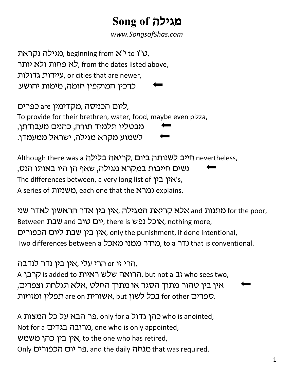## מגילה Song of

www.SongsofShas.com

טגילה נקראת), beginning from  $x''$  to "ט, לא פחות ולא יותר, from the dates listed above, , עיירות גדולות, or cities that are newer, כרכין המוקפין חומה, מימות יהושע.

ליום הכניסה ,מקדימין are כפרים, To provide for their brethren, water, food, maybe even pizza, מבטלין תלמוד תורה, כהנים מעבודתן, לשמוע מקרא מגילה, ישראל ממעמדן.

Although there was a הייב לשנותה ביום, קריאה בלילה נשים חייבות במקרא מגילה, שאף הן היו באותו הנס, The differences between, a very long list of 'אין בין אל's, A series of במרא each one that the explains.

מתנות and מלא קריאת המגילה, אין בין אדר הראשון לאדר שני for the poor, Between עבת, nothing more, יום טוב and שבת אין בין שבת ליום הכפורים, only the punishment, if done intentional, Two differences between a כדר a מודר ממנו מאכל. to a that is conventional.

הרי זו or הרי עלי ,אין בין נדר לנדבה, A הרואה שלש ראיות is added to הרואה שלש ראיות, but not a קרבן, אין בין טהור מתוך הסגר או מתוך החלט ,אלא תגלחת וצפרים, בכל לשון are on השורית are on הפלין ומזוזות.

A המצות who is anointed, כהן גדול only for a כתן של כל המצות Not for a כורובה בגדים, one who is only appointed, אין בין כהן משמש, to the one who has retired, Only כר יום הכפורים , and the daily מנחה, או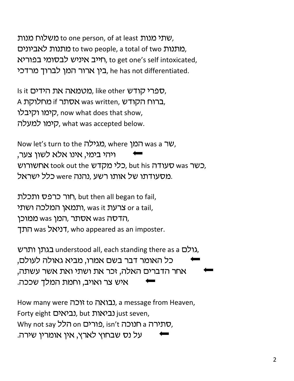שתי מנות to one person, of at least שתי מנות, מתנות to two people, a total of two מתנות), חייב איניש לבסומי בפוריא, to get one's self intoxicated, , בין ארור המן לברוך מרדכי he has not differentiated.

Is it הידים, like other עפרי קודש, A ברוח הקודש, was written, ברוח הקודש, קימו וקיבלו, now what does that show, קימו למעלה, what was accepted below.

Now let's turn to the *מגילה*, where *המן* was a  $v$ , ויהי בימי, אינו אלא לשון צער, כלי מקדש took out the כלי מקדש, but his כשר was המשורוש, מסעודתו של אותו רשע ,נהנה were כלל ישראל.

חור כרפס ותכלת, but then all began to fail, יתמאן המלכה ושתי, was it ותמאן or a tail, ממוכן, was אסתר, המן was ממוכן, רניאל was רונך, who appeared as an imposter.

בגתן ותרש. understood all, each standing there as a גולם, כל האומר דבר בשם אמרו, מביא גאולה לעולם, אחר הדברים האלה, זכר את ושתי ואת אשר עשתה, איש צר ואויב, וחמת המלך שככה.

How many were ובואה to גבואה, a message from Heaven, Forty eight (ביאות), but נביאות) just seven, Why not say כורים no הלל, isn't המוכה,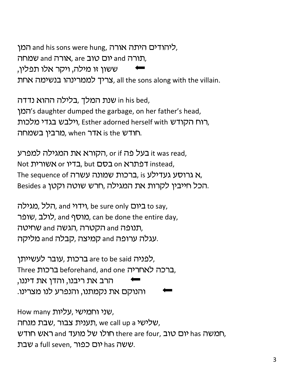ליהודים היתה אורה, אורה או and his sons were hung, המו תורה and יום טוב are, אורה and שמחה, , צריך לממרינהו בנשימה אחת all the sons along with the villain.

, in his bed שנת המלך ,בלילה ההוא נדדה 's daughter dumped the garbage, on her father's head, רוח הקודש Esther adorned herself with ,רוח הקודש, מרבין בשמחה, when הודש is the .

, הקורא את המגילה למפרע, or if it was read, Not ובדיו or המרא or הבסם, but כדיו The sequence of גרוסע געדילע, is ברכות שמונה עשרה, Besides a הכל חייבין לקרות את המגילה, חרש שוטה וקטן.

הלל, מגילה, and יודוי, be sure only ביום, and הלל, לולב, שופר, and City, can be done the entire day, תנופה and הקטרה ,הגשה and שחיטה, עגלה ערופה and קמיצה ,קבלה and מליקה.

לפניה are to be said ברכות, עובר לעשייתו. Eרכה לאחריה beforehand, and one ברכה לאחריה. הרב את ריבנו, והדן את דיננו,

How many עליות, שני וחמישי, תענית צבור, שבת מנחה, we call up a , חמשה and יום טוב ,there are four חולו של מועד and ראש חודש, שעה has יום כפור, a full seven, שבת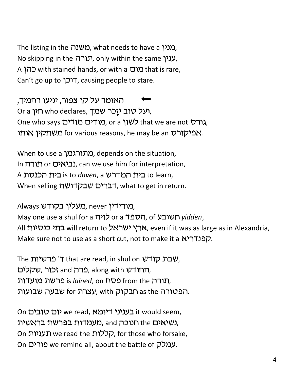The listing in the *מ*ער, what needs to have a (מנין No skipping in the תורה, only within the same  $y$ ענין, A מום with stained hands, or with a מום that is rare, Can't go up to "רכן, causing people to stare.

האומר על קן צפור, יגיעו רחמיך, Or a חזן, who declares, ועל טוב יזַכר שמך, One who says כשון or a כמודים מודים, or a hat we are not ה משתקין אותו. for various reasons, he may be an  $\sim$ אמרו

When to use a מתורגמן. depends on the situation, In כביאים or נביאים), can we use him for interpretation, A ובית הכנסת is to daven, a בית הכנסת to learn, When selling רברים שבקדושה, what to get in return.

Always כמורידין, never ,מעלין בקודש, May one use a shul for a רויה or a הספד, of yidden, All בתי כנסיות will return to ארץ ישראל, even if it was as large as in Alexandria, Make sure not to use as a short cut, not to make it a . קפנדריא

The יצבת קודש 'T that are read, in shul on שבת החודש and , פרה along with החודש, תורה from the פסח from the בכשת מועדות. הפטורה as the חבקוק with ,עצרת for שבעה שבועות.

On יום טובים we read, ובעניני דיומא) it would seem, מעמדות בפרשת בראשית), and תנוכה, the נשיאים, On תעניות, for those who forsake, On שמלק we remind all, about the battle of עמלק.